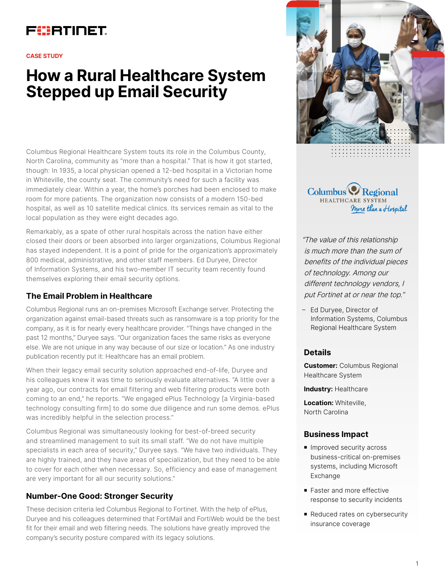# FURTINET

#### **CASE STUDY**

# **How a Rural Healthcare System Stepped up Email Security**

Columbus Regional Healthcare System touts its role in the Columbus County, North Carolina, community as "more than a hospital." That is how it got started, though: In 1935, a local physician opened a 12-bed hospital in a Victorian home in Whiteville, the county seat. The community's need for such a facility was immediately clear. Within a year, the home's porches had been enclosed to make room for more patients. The organization now consists of a modern 150-bed hospital, as well as 10 satellite medical clinics. Its services remain as vital to the local population as they were eight decades ago.

Remarkably, as a spate of other rural hospitals across the nation have either closed their doors or been absorbed into larger organizations, Columbus Regional has stayed independent. It is a point of pride for the organization's approximately 800 medical, administrative, and other staff members. Ed Duryee, Director of Information Systems, and his two-member IT security team recently found themselves exploring their email security options.

## **The Email Problem in Healthcare**

Columbus Regional runs an on-premises Microsoft Exchange server. Protecting the organization against email-based threats such as ransomware is a top priority for the company, as it is for nearly every healthcare provider. "Things have changed in the past 12 months," Duryee says. "Our organization faces the same risks as everyone else. We are not unique in any way because of our size or location." As one industry publication recently put it: Healthcare has an email problem.

When their legacy email security solution approached end-of-life, Duryee and his colleagues knew it was time to seriously evaluate alternatives. "A little over a year ago, our contracts for email filtering and web filtering products were both coming to an end," he reports. "We engaged ePlus Technology [a Virginia-based technology consulting firm] to do some due diligence and run some demos. ePlus was incredibly helpful in the selection process."

Columbus Regional was simultaneously looking for best-of-breed security and streamlined management to suit its small staff. "We do not have multiple specialists in each area of security," Duryee says. "We have two individuals. They are highly trained, and they have areas of specialization, but they need to be able to cover for each other when necessary. So, efficiency and ease of management are very important for all our security solutions."

## **Number-One Good: Stronger Security**

These decision criteria led Columbus Regional to Fortinet. With the help of ePlus, Duryee and his colleagues determined that FortiMail and FortiWeb would be the best fit for their email and web filtering needs. The solutions have greatly improved the company's security posture compared with its legacy solutions.



Columbus Regional HEALTHCARE SYSTEM More than a Hospital

"The value of this relationship is much more than the sum of benefits of the individual pieces of technology. Among our different technology vendors, I put Fortinet at or near the top."

– Ed Duryee, Director of Information Systems, Columbus Regional Healthcare System

#### **Details**

**Customer:** Columbus Regional Healthcare System

**Industry:** Healthcare

**Location:** Whiteville, North Carolina

#### **Business Impact**

- **n** Improved security across business-critical on-premises systems, including Microsoft Exchange
- **Faster and more effective** response to security incidents
- Reduced rates on cybersecurity insurance coverage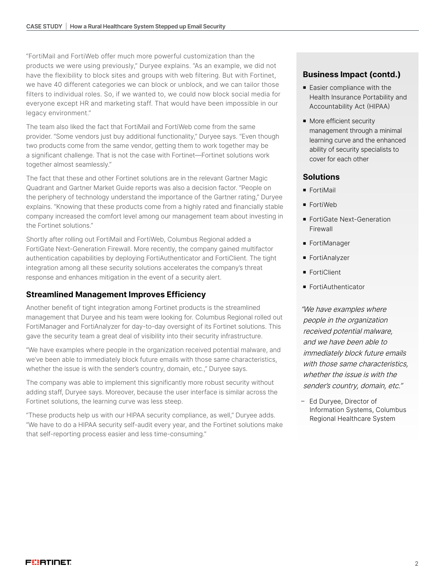"FortiMail and FortiWeb offer much more powerful customization than the products we were using previously," Duryee explains. "As an example, we did not have the flexibility to block sites and groups with web filtering. But with Fortinet, we have 40 different categories we can block or unblock, and we can tailor those filters to individual roles. So, if we wanted to, we could now block social media for everyone except HR and marketing staff. That would have been impossible in our legacy environment."

The team also liked the fact that FortiMail and FortiWeb come from the same provider. "Some vendors just buy additional functionality," Duryee says. "Even though two products come from the same vendor, getting them to work together may be a significant challenge. That is not the case with Fortinet—Fortinet solutions work together almost seamlessly."

The fact that these and other Fortinet solutions are in the relevant Gartner Magic Quadrant and Gartner Market Guide reports was also a decision factor. "People on the periphery of technology understand the importance of the Gartner rating," Duryee explains. "Knowing that these products come from a highly rated and financially stable company increased the comfort level among our management team about investing in the Fortinet solutions."

Shortly after rolling out FortiMail and FortiWeb, Columbus Regional added a FortiGate Next-Generation Firewall. More recently, the company gained multifactor authentication capabilities by deploying FortiAuthenticator and FortiClient. The tight integration among all these security solutions accelerates the company's threat response and enhances mitigation in the event of a security alert.

# **Streamlined Management Improves Efficiency**

Another benefit of tight integration among Fortinet products is the streamlined management that Duryee and his team were looking for. Columbus Regional rolled out FortiManager and FortiAnalyzer for day-to-day oversight of its Fortinet solutions. This gave the security team a great deal of visibility into their security infrastructure.

"We have examples where people in the organization received potential malware, and we've been able to immediately block future emails with those same characteristics, whether the issue is with the sender's country, domain, etc.," Duryee says.

The company was able to implement this significantly more robust security without adding staff, Duryee says. Moreover, because the user interface is similar across the Fortinet solutions, the learning curve was less steep.

"These products help us with our HIPAA security compliance, as well," Duryee adds. "We have to do a HIPAA security self-audit every year, and the Fortinet solutions make that self-reporting process easier and less time-consuming."

# **Business Impact (contd.)**

- $\blacksquare$  Easier compliance with the Health Insurance Portability and Accountability Act (HIPAA)
- More efficient security management through a minimal learning curve and the enhanced ability of security specialists to cover for each other

## **Solutions**

- **FortiMail**
- **FortiWeb**
- **FortiGate Next-Generation** Firewall
- FortiManager
- FortiAnalyzer
- **FortiClient**
- FortiAuthenticator

"We have examples where people in the organization received potential malware, and we have been able to immediately block future emails with those same characteristics, whether the issue is with the sender's country, domain, etc."

– Ed Duryee, Director of Information Systems, Columbus Regional Healthcare System